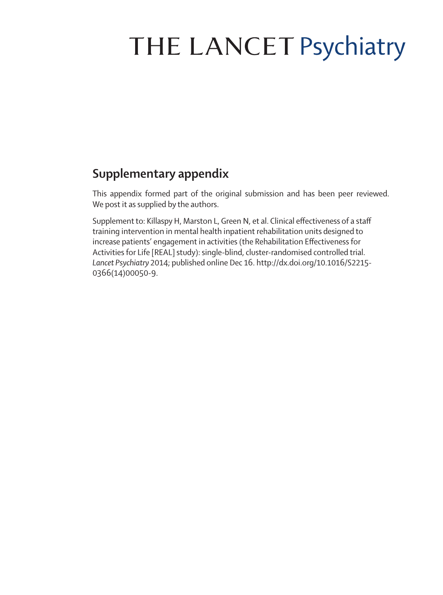## THE LANCET Psychiatry

## **Supplementary appendix**

This appendix formed part of the original submission and has been peer reviewed. We post it as supplied by the authors.

Supplement to: Killaspy H, Marston L, Green N, et al. Clinical effectiveness of a staff training intervention in mental health inpatient rehabilitation units designed to increase patients' engagement in activities (the Rehabilitation Effectiveness for Activities for Life [REAL] study): single-blind, cluster-randomised controlled trial. *Lancet Psychiatry* 2014; published online Dec 16. http://dx.doi.org/10.1016/S2215- 0366(14)00050-9.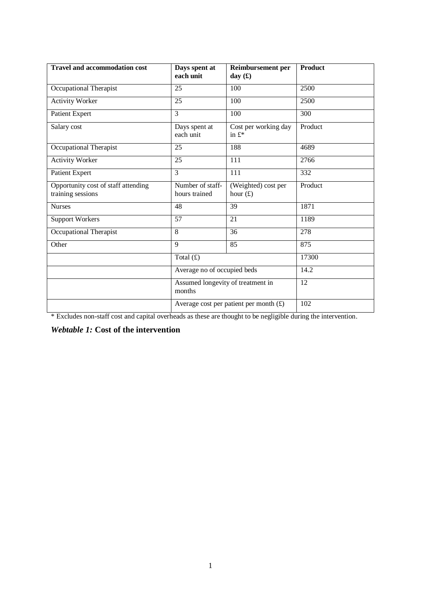| <b>Travel and accommodation cost</b>                     | Days spent at<br>each unit                                             | <b>Reimbursement</b> per<br>day $(f)$    | <b>Product</b> |
|----------------------------------------------------------|------------------------------------------------------------------------|------------------------------------------|----------------|
| Occupational Therapist                                   | 25                                                                     | 100                                      | 2500           |
| <b>Activity Worker</b>                                   | 25                                                                     | 100                                      | 2500           |
| Patient Expert                                           | 3                                                                      | 100                                      | 300            |
| Salary cost                                              | Cost per working day<br>Days spent at<br>each unit<br>in $f^*$         |                                          | Product        |
| Occupational Therapist                                   | 25                                                                     | 188                                      | 4689           |
| <b>Activity Worker</b>                                   | 25                                                                     | 111                                      | 2766           |
| Patient Expert                                           | 3                                                                      | 111                                      | 332            |
| Opportunity cost of staff attending<br>training sessions | Number of staff-<br>(Weighted) cost per<br>hours trained<br>hour $(f)$ |                                          | Product        |
| <b>Nurses</b>                                            | 39<br>48                                                               |                                          | 1871           |
| <b>Support Workers</b>                                   | 57                                                                     | 21                                       | 1189           |
| Occupational Therapist                                   | 8                                                                      | 36                                       | 278            |
| Other                                                    | 9                                                                      | 85                                       | 875            |
|                                                          | Total $(f)$                                                            |                                          | 17300          |
|                                                          | Average no of occupied beds                                            |                                          | 14.2           |
|                                                          | Assumed longevity of treatment in<br>months                            |                                          | 12             |
|                                                          |                                                                        | Average cost per patient per month $(E)$ | 102            |

\* Excludes non-staff cost and capital overheads as these are thought to be negligible during the intervention.

*Webtable 1:* **Cost of the intervention**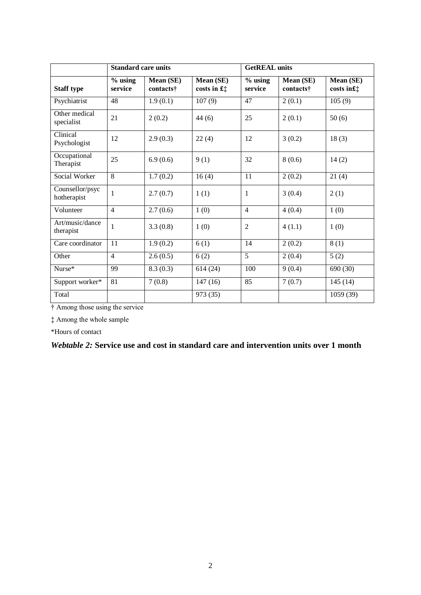|                                | <b>Standard care units</b> |                        |                             | <b>GetREAL</b> units |                        |                         |
|--------------------------------|----------------------------|------------------------|-----------------------------|----------------------|------------------------|-------------------------|
| <b>Staff type</b>              | $%$ using<br>service       | Mean (SE)<br>contacts† | Mean (SE)<br>costs in $f$ : | $%$ using<br>service | Mean (SE)<br>contacts† | Mean (SE)<br>costs in£‡ |
| Psychiatrist                   | 48                         | 1.9(0.1)               | 107(9)                      | 47                   | 2(0.1)                 | 105(9)                  |
| Other medical<br>specialist    | 21                         | 2(0.2)                 | 44(6)                       | 25                   | 2(0.1)                 | 50(6)                   |
| Clinical<br>Psychologist       | 12                         | 2.9(0.3)               | 22(4)                       | 12                   | 3(0.2)                 | 18(3)                   |
| Occupational<br>Therapist      | 25                         | 6.9(0.6)               | 9(1)                        | 32                   | 8(0.6)                 | 14(2)                   |
| Social Worker                  | 8                          | 1.7(0.2)               | 16(4)                       | 11                   | 2(0.2)                 | 21(4)                   |
| Counsellor/psyc<br>hotherapist | 1                          | 2.7(0.7)               | 1(1)                        | 1                    | 3(0.4)                 | 2(1)                    |
| Volunteer                      | $\overline{4}$             | 2.7(0.6)               | 1(0)                        | $\overline{4}$       | 4(0.4)                 | 1(0)                    |
| Art/music/dance<br>therapist   | 1                          | 3.3(0.8)               | 1(0)                        | $\overline{2}$       | 4(1.1)                 | 1(0)                    |
| Care coordinator               | 11                         | 1.9(0.2)               | 6(1)                        | 14                   | 2(0.2)                 | 8(1)                    |
| Other                          | $\overline{4}$             | 2.6(0.5)               | 6(2)                        | $\overline{5}$       | 2(0.4)                 | 5(2)                    |
| Nurse*                         | 99                         | 8.3(0.3)               | 614(24)                     | 100                  | 9(0.4)                 | 690 (30)                |
| Support worker*                | 81                         | 7(0.8)                 | 147(16)                     | 85                   | 7(0.7)                 | 145(14)                 |
| Total                          |                            |                        | 973 (35)                    |                      |                        | 1059 (39)               |

† Among those using the service

‡ Among the whole sample

\*Hours of contact

*Webtable 2:* **Service use and cost in standard care and intervention units over 1 month**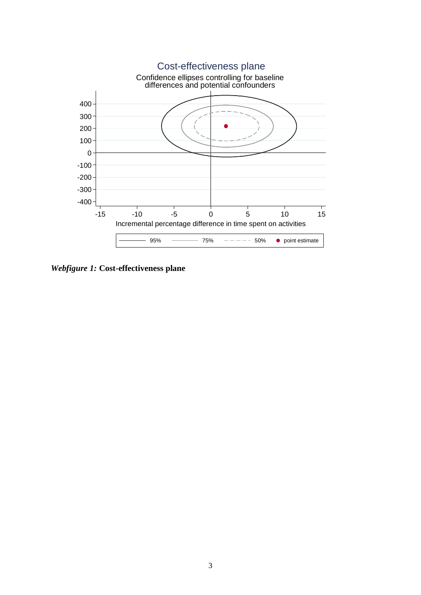

*Webfigure 1:* **Cost-effectiveness plane**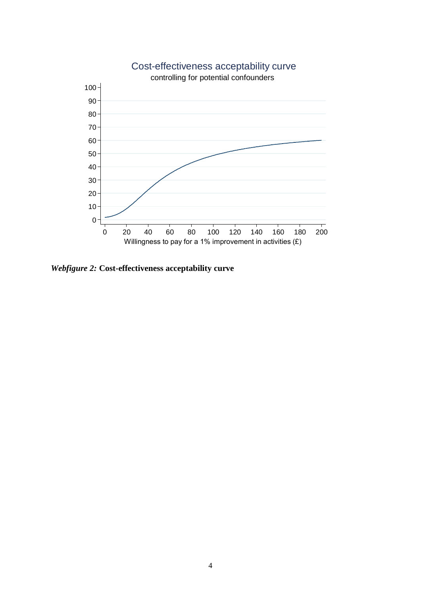

*Webfigure 2:* **Cost-effectiveness acceptability curve**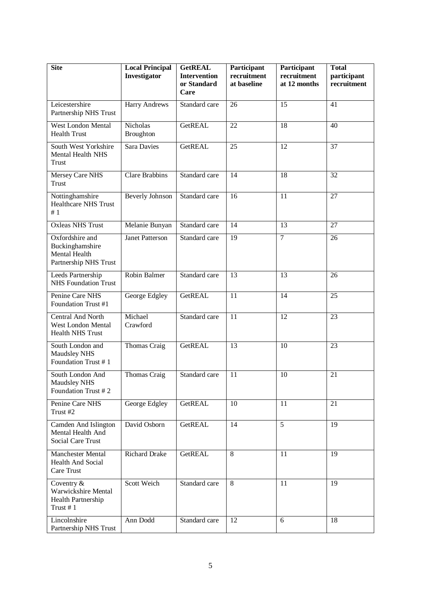| <b>Site</b>                                                                  | <b>Local Principal</b><br>Investigator | <b>GetREAL</b><br><b>Intervention</b><br>or Standard<br>Care | Participant<br>recruitment<br>at baseline | Participant<br>recruitment<br>at 12 months | <b>Total</b><br>participant<br>recruitment |
|------------------------------------------------------------------------------|----------------------------------------|--------------------------------------------------------------|-------------------------------------------|--------------------------------------------|--------------------------------------------|
| Leicestershire<br>Partnership NHS Trust                                      | <b>Harry Andrews</b>                   | Standard care                                                | 26                                        | 15                                         | 41                                         |
| West London Mental<br><b>Health Trust</b>                                    | Nicholas<br><b>Broughton</b>           | <b>GetREAL</b>                                               | 22                                        | 18                                         | 40                                         |
| South West Yorkshire<br><b>Mental Health NHS</b><br><b>Trust</b>             | <b>Sara Davies</b>                     | <b>GetREAL</b>                                               | 25                                        | 12                                         | 37                                         |
| Mersey Care NHS<br>Trust                                                     | <b>Clare Brabbins</b>                  | Standard care                                                | 14                                        | 18                                         | 32                                         |
| Nottinghamshire<br><b>Healthcare NHS Trust</b><br>#1                         | <b>Beverly Johnson</b>                 | Standard care                                                | 16                                        | 11                                         | $\overline{27}$                            |
| <b>Oxleas NHS Trust</b>                                                      | Melanie Bunyan                         | Standard care                                                | 14                                        | 13                                         | 27                                         |
| Oxfordshire and<br>Buckinghamshire<br>Mental Health<br>Partnership NHS Trust | <b>Janet Patterson</b>                 | Standard care                                                | 19                                        | $\overline{7}$                             | 26                                         |
| Leeds Partnership<br><b>NHS</b> Foundation Trust                             | Robin Balmer                           | Standard care                                                | 13                                        | 13                                         | 26                                         |
| Penine Care NHS<br>Foundation Trust #1                                       | George Edgley                          | <b>GetREAL</b>                                               | 11                                        | 14                                         | 25                                         |
| Central And North<br>West London Mental<br><b>Health NHS Trust</b>           | Michael<br>Crawford                    | Standard care                                                | 11                                        | 12                                         | 23                                         |
| South London and<br>Maudsley NHS<br>Foundation Trust #1                      | Thomas Craig                           | <b>GetREAL</b>                                               | 13                                        | 10                                         | 23                                         |
| South London And<br>Maudsley NHS<br>Foundation Trust #2                      | <b>Thomas Craig</b>                    | Standard care                                                | 11                                        | 10                                         | 21                                         |
| Penine Care NHS<br>Trust #2                                                  | George Edgley                          | <b>GetREAL</b>                                               | 10                                        | $\overline{11}$                            | 21                                         |
| Camden And Islington<br>Mental Health And<br><b>Social Care Trust</b>        | David Osborn                           | <b>GetREAL</b>                                               | 14                                        | $\overline{5}$                             | 19                                         |
| Manchester Mental<br>Health And Social<br>Care Trust                         | <b>Richard Drake</b>                   | <b>GetREAL</b>                                               | 8                                         | 11                                         | $\overline{19}$                            |
| Coventry &<br>Warwickshire Mental<br>Health Partnership<br>Trust #1          | Scott Weich                            | Standard care                                                | 8                                         | 11                                         | 19                                         |
| Lincolnshire<br>Partnership NHS Trust                                        | Ann Dodd                               | Standard care                                                | 12                                        | 6                                          | 18                                         |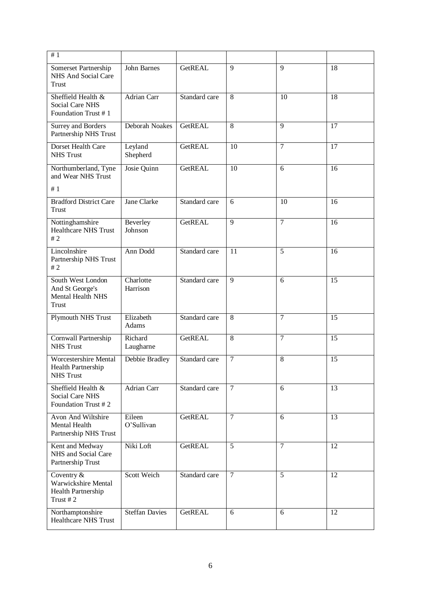| #1                                                                        |                       |                |                |                |                 |
|---------------------------------------------------------------------------|-----------------------|----------------|----------------|----------------|-----------------|
| Somerset Partnership<br>NHS And Social Care<br>Trust                      | John Barnes           | <b>GetREAL</b> | 9              | 9              | 18              |
| Sheffield Health &<br><b>Social Care NHS</b><br>Foundation Trust #1       | <b>Adrian Carr</b>    | Standard care  | 8              | 10             | 18              |
| <b>Surrey and Borders</b><br>Partnership NHS Trust                        | Deborah Noakes        | <b>GetREAL</b> | 8              | $\mathbf Q$    | 17              |
| Dorset Health Care<br><b>NHS Trust</b>                                    | Leyland<br>Shepherd   | GetREAL        | 10             | $\tau$         | 17              |
| Northumberland, Tyne<br>and Wear NHS Trust                                | Josie Quinn           | <b>GetREAL</b> | 10             | 6              | 16              |
| #1                                                                        |                       |                |                |                |                 |
| <b>Bradford District Care</b><br>Trust                                    | Jane Clarke           | Standard care  | 6              | 10             | 16              |
| Nottinghamshire<br><b>Healthcare NHS Trust</b><br>#2                      | Beverley<br>Johnson   | <b>GetREAL</b> | $\overline{9}$ | 7              | 16              |
| Lincolnshire<br>Partnership NHS Trust<br>#2                               | Ann Dodd              | Standard care  | 11             | $\overline{5}$ | 16              |
| South West London<br>And St George's<br>Mental Health NHS<br><b>Trust</b> | Charlotte<br>Harrison | Standard care  | 9              | 6              | 15              |
| Plymouth NHS Trust                                                        | Elizabeth<br>Adams    | Standard care  | $\overline{8}$ | $\tau$         | $\overline{15}$ |
| Cornwall Partnership<br><b>NHS Trust</b>                                  | Richard<br>Laugharne  | <b>GetREAL</b> | 8              | $\overline{7}$ | 15              |
| Worcestershire Mental<br>Health Partnership<br><b>NHS Trust</b>           | Debbie Bradley        | Standard care  | $\tau$         | 8              | 15              |
| Sheffield Health &<br>Social Care NHS<br>Foundation Trust #2              | Adrian Carr           | Standard care  | $\overline{7}$ | 6              | 13              |
| Avon And Wiltshire<br>Mental Health<br>Partnership NHS Trust              | Eileen<br>O'Sullivan  | GetREAL        | $\overline{7}$ | 6              | 13              |
| Kent and Medway<br>NHS and Social Care<br>Partnership Trust               | Niki Loft             | GetREAL        | 5              | $\tau$         | 12              |
| Coventry &<br>Warwickshire Mental<br>Health Partnership<br>Trust #2       | Scott Weich           | Standard care  | $\overline{7}$ | 5              | 12              |
| Northamptonshire<br><b>Healthcare NHS Trust</b>                           | <b>Steffan Davies</b> | GetREAL        | 6              | 6              | 12              |